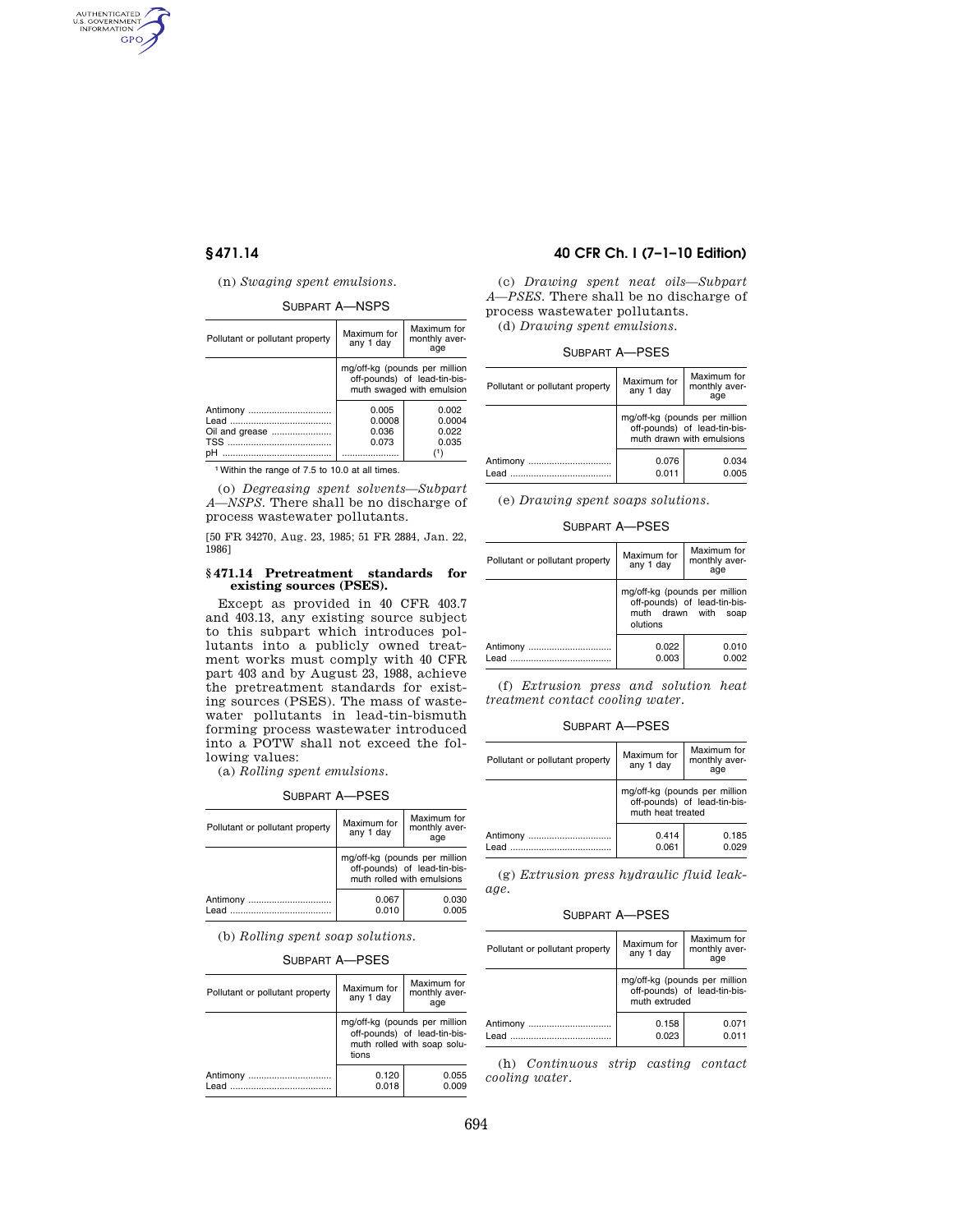AUTHENTICATED<br>U.S. GOVERNMENT<br>INFORMATION GPO

## (n) *Swaging spent emulsions.*

## SUBPART A—NSPS

| Pollutant or pollutant property  | Maximum for<br>any 1 day          | Maximum for<br>monthly aver-<br>age                                                        |
|----------------------------------|-----------------------------------|--------------------------------------------------------------------------------------------|
|                                  |                                   | mg/off-kg (pounds per million<br>off-pounds) of lead-tin-bis-<br>muth swaged with emulsion |
| Antimony<br>Oil and grease<br>pН | 0.005<br>0.0008<br>0.036<br>0.073 | 0.002<br>0.0004<br>0.022<br>0.035                                                          |
|                                  |                                   |                                                                                            |

1Within the range of 7.5 to 10.0 at all times.

(o) *Degreasing spent solvents—Subpart A—NSPS.* There shall be no discharge of process wastewater pollutants.

[50 FR 34270, Aug. 23, 1985; 51 FR 2884, Jan. 22, 1986]

## **§ 471.14 Pretreatment standards for existing sources (PSES).**

Except as provided in 40 CFR 403.7 and 403.13, any existing source subject to this subpart which introduces pollutants into a publicly owned treatment works must comply with 40 CFR part 403 and by August 23, 1988, achieve the pretreatment standards for existing sources (PSES). The mass of wastewater pollutants in lead-tin-bismuth forming process wastewater introduced into a POTW shall not exceed the following values:

(a) *Rolling spent emulsions.* 

# SUBPART A—PSES

| Pollutant or pollutant property | Maximum for<br>any 1 day                                                                    | Maximum for<br>monthly aver-<br>age |
|---------------------------------|---------------------------------------------------------------------------------------------|-------------------------------------|
|                                 | mg/off-kg (pounds per million<br>off-pounds) of lead-tin-bis-<br>muth rolled with emulsions |                                     |
| Antimony<br>Lead                | 0.067<br>0.010                                                                              | 0.030<br>0.005                      |

(b) *Rolling spent soap solutions.* 

## SUBPART A—PSES

| Pollutant or pollutant property | Maximum for<br>any 1 day | Maximum for<br>monthly aver-<br>age                                                          |
|---------------------------------|--------------------------|----------------------------------------------------------------------------------------------|
|                                 | tions                    | mg/off-kg (pounds per million<br>off-pounds) of lead-tin-bis-<br>muth rolled with soap solu- |
| Antimony                        | 0.120<br>0.018           | 0.055<br>0.009                                                                               |

# **§ 471.14 40 CFR Ch. I (7–1–10 Edition)**

(c) *Drawing spent neat oils—Subpart A—PSES.* There shall be no discharge of process wastewater pollutants. (d) *Drawing spent emulsions.* 

SUBPART A—PSES

| Pollutant or pollutant property | Maximum for<br>any 1 day                                                                   | Maximum for<br>monthly aver-<br>age |
|---------------------------------|--------------------------------------------------------------------------------------------|-------------------------------------|
|                                 | mg/off-kg (pounds per million<br>off-pounds) of lead-tin-bis-<br>muth drawn with emulsions |                                     |
| Antimony<br>hea I               | 0.076<br>0.011                                                                             | 0.034<br>0.005                      |

(e) *Drawing spent soaps solutions.* 

SUBPART A—PSES

| Pollutant or pollutant property | Maximum for<br>any 1 day                                                                             | Maximum for<br>monthly aver-<br>age |
|---------------------------------|------------------------------------------------------------------------------------------------------|-------------------------------------|
|                                 | mg/off-kg (pounds per million<br>off-pounds) of lead-tin-bis-<br>muth drawn with<br>soap<br>olutions |                                     |
| Antimony                        | 0.022<br>0.003                                                                                       | 0.010<br>0.002                      |

(f) *Extrusion press and solution heat treatment contact cooling water.* 

## SUBPART A—PSES

| Pollutant or pollutant property                                | Maximum for<br>any 1 day                                                           | Maximum for<br>monthly aver-<br>age |
|----------------------------------------------------------------|------------------------------------------------------------------------------------|-------------------------------------|
|                                                                | mg/off-kg (pounds per million<br>off-pounds) of lead-tin-bis-<br>muth heat treated |                                     |
| Antimony<br>$A = \begin{bmatrix} 1 & 1 \\ 1 & 1 \end{bmatrix}$ | 0.414<br>0.061                                                                     | 0.185<br>0.029                      |

(g) *Extrusion press hydraulic fluid leakage.* 

SUBPART A—PSES

| Pollutant or pollutant property | Maximum for<br>any 1 day                                                       | Maximum for<br>monthly aver-<br>age |
|---------------------------------|--------------------------------------------------------------------------------|-------------------------------------|
|                                 | mg/off-kg (pounds per million<br>off-pounds) of lead-tin-bis-<br>muth extruded |                                     |
| Antimony                        | 0.158<br>0.023                                                                 | 0.071<br>0.011                      |

(h) *Continuous strip casting contact cooling water.*